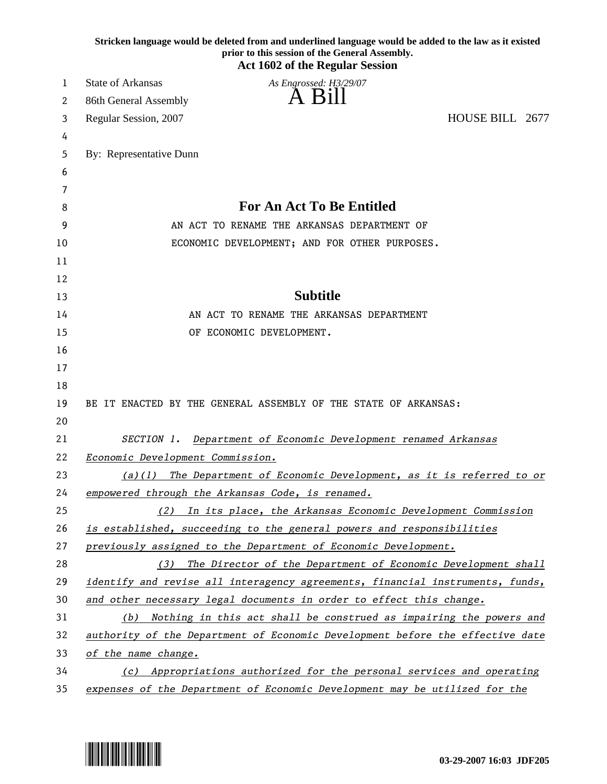|    | Stricken language would be deleted from and underlined language would be added to the law as it existed<br>prior to this session of the General Assembly.<br><b>Act 1602 of the Regular Session</b> |
|----|-----------------------------------------------------------------------------------------------------------------------------------------------------------------------------------------------------|
| 1  | <b>State of Arkansas</b><br>As Engrossed: H3/29/07                                                                                                                                                  |
| 2  | A Bill<br>86th General Assembly                                                                                                                                                                     |
| 3  | HOUSE BILL 2677<br>Regular Session, 2007                                                                                                                                                            |
| 4  |                                                                                                                                                                                                     |
| 5  | By: Representative Dunn                                                                                                                                                                             |
| 6  |                                                                                                                                                                                                     |
| 7  |                                                                                                                                                                                                     |
| 8  | <b>For An Act To Be Entitled</b>                                                                                                                                                                    |
| 9  | AN ACT TO RENAME THE ARKANSAS DEPARTMENT OF                                                                                                                                                         |
| 10 | ECONOMIC DEVELOPMENT; AND FOR OTHER PURPOSES.                                                                                                                                                       |
| 11 |                                                                                                                                                                                                     |
| 12 |                                                                                                                                                                                                     |
| 13 | <b>Subtitle</b>                                                                                                                                                                                     |
| 14 | AN ACT TO RENAME THE ARKANSAS DEPARTMENT                                                                                                                                                            |
| 15 | OF ECONOMIC DEVELOPMENT.                                                                                                                                                                            |
| 16 |                                                                                                                                                                                                     |
| 17 |                                                                                                                                                                                                     |
| 18 |                                                                                                                                                                                                     |
| 19 | BE IT ENACTED BY THE GENERAL ASSEMBLY OF THE STATE OF ARKANSAS:                                                                                                                                     |
| 20 |                                                                                                                                                                                                     |
| 21 | SECTION 1.<br>Department of Economic Development renamed Arkansas                                                                                                                                   |
| 22 | Economic Development Commission.                                                                                                                                                                    |
| 23 | $(a)(1)$ The Department of Economic Development, as it is referred to or                                                                                                                            |
| 24 | empowered through the Arkansas Code, is renamed.                                                                                                                                                    |
| 25 | (2) In its place, the Arkansas Economic Development Commission                                                                                                                                      |
| 26 | is established, succeeding to the general powers and responsibilities                                                                                                                               |
| 27 | previously assigned to the Department of Economic Development.                                                                                                                                      |
| 28 | The Director of the Department of Economic Development shall<br>(3)                                                                                                                                 |
| 29 | <i>identify and revise all interagency agreements, financial instruments, funds,</i>                                                                                                                |
| 30 | and other necessary legal documents in order to effect this change.                                                                                                                                 |
| 31 | Nothing in this act shall be construed as impairing the powers and<br>(b)                                                                                                                           |
| 32 | authority of the Department of Economic Development before the effective date                                                                                                                       |
| 33 | of the name change.                                                                                                                                                                                 |
| 34 | (c) Appropriations authorized for the personal services and operating                                                                                                                               |
| 35 | expenses of the Department of Economic Development may be utilized for the                                                                                                                          |

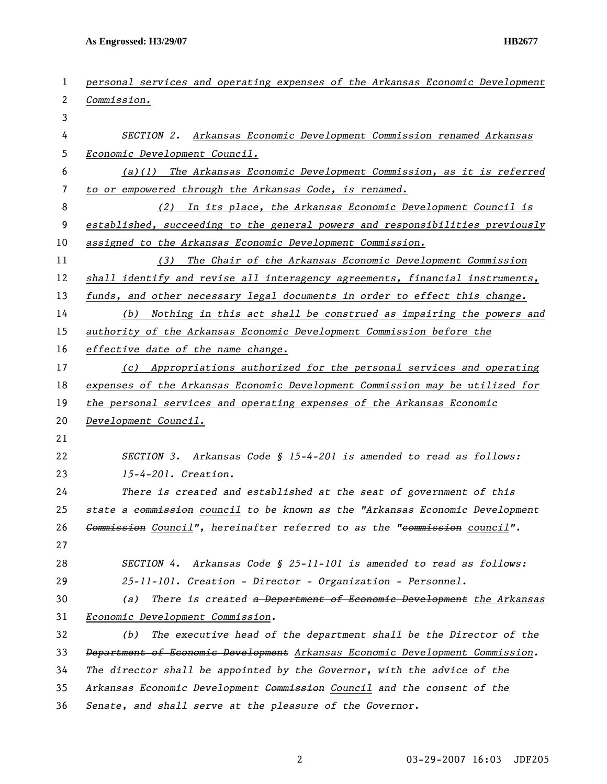**As Engrossed: H3/29/07 HB2677** 

| 1  | personal services and operating expenses of the Arkansas Economic Development      |
|----|------------------------------------------------------------------------------------|
| 2  | Commission.                                                                        |
| 3  |                                                                                    |
| 4  | SECTION 2.<br>Arkansas Economic Development Commission renamed Arkansas            |
| 5  | Economic Development Council.                                                      |
| 6  | $(a)(1)$ The Arkansas Economic Development Commission, as it is referred           |
| 7  | to or empowered through the Arkansas Code, is renamed.                             |
| 8  | In its place, the Arkansas Economic Development Council is<br>(2)                  |
| 9  | established, succeeding to the general powers and responsibilities previously      |
| 10 | assigned to the Arkansas Economic Development Commission.                          |
| 11 | (3)<br>The Chair of the Arkansas Economic Development Commission                   |
| 12 | shall identify and revise all interagency agreements, financial instruments,       |
| 13 | funds, and other necessary legal documents in order to effect this change.         |
| 14 | Nothing in this act shall be construed as impairing the powers and<br>(b)          |
| 15 | authority of the Arkansas Economic Development Commission before the               |
| 16 | effective date of the name change.                                                 |
| 17 | (c) Appropriations authorized for the personal services and operating              |
| 18 | expenses of the Arkansas Economic Development Commission may be utilized for       |
| 19 | the personal services and operating expenses of the Arkansas Economic              |
| 20 | Development Council.                                                               |
| 21 |                                                                                    |
| 22 | SECTION 3. Arkansas Code § 15-4-201 is amended to read as follows:                 |
| 23 | 15-4-201. Creation.                                                                |
| 24 | There is created and established at the seat of government of this                 |
| 25 | state a commission council to be known as the "Arkansas Economic Development       |
| 26 | Gommission Council", hereinafter referred to as the "eommission council".          |
| 27 |                                                                                    |
| 28 | SECTION 4. Arkansas Code § 25-11-101 is amended to read as follows:                |
| 29 | 25-11-101. Creation - Director - Organization - Personnel.                         |
| 30 | There is created a Department of Economic Development the Arkansas<br>(a)          |
| 31 | Economic Development Commission.                                                   |
| 32 | The executive head of the department shall be the Director of the<br>(b)           |
| 33 | Department of Economic Development Arkansas Economic Development Commission.       |
| 34 | The director shall be appointed by the Governor, with the advice of the            |
| 35 | Arkansas Economic Development <del>Commission</del> Council and the consent of the |
| 36 | Senate, and shall serve at the pleasure of the Governor.                           |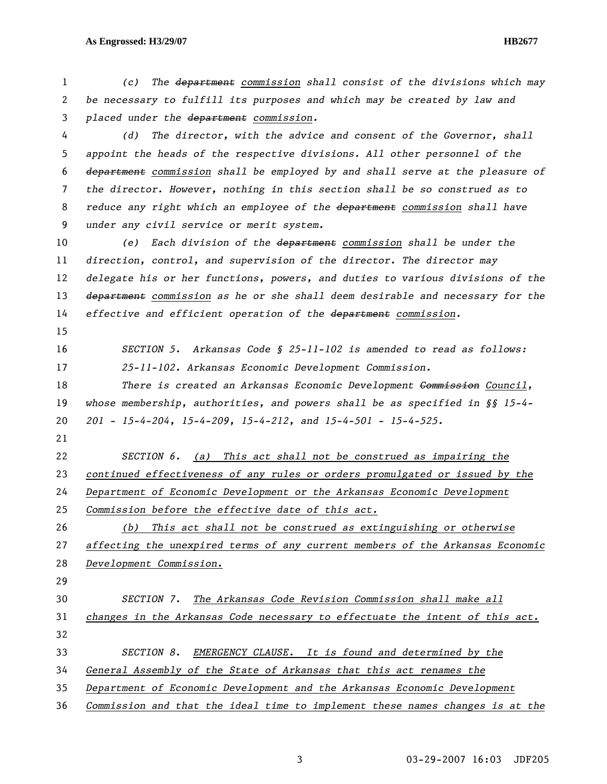## **As Engrossed: H3/29/07 HB2677**

*(c) The department commission shall consist of the divisions which may be necessary to fulfill its purposes and which may be created by law and placed under the department commission.* 

*(d) The director, with the advice and consent of the Governor, shall appoint the heads of the respective divisions. All other personnel of the department commission shall be employed by and shall serve at the pleasure of the director. However, nothing in this section shall be so construed as to reduce any right which an employee of the department commission shall have under any civil service or merit system.* 

*(e) Each division of the department commission shall be under the direction, control, and supervision of the director. The director may delegate his or her functions, powers, and duties to various divisions of the department commission as he or she shall deem desirable and necessary for the effective and efficient operation of the department commission.* 

*SECTION 5. Arkansas Code § 25-11-102 is amended to read as follows: 25-11-102. Arkansas Economic Development Commission.* 

*There is created an Arkansas Economic Development Commission Council, whose membership, authorities, and powers shall be as specified in §§ 15-4- 201 - 15-4-204, 15-4-209, 15-4-212, and 15-4-501 - 15-4-525.* 

*SECTION 6. (a) This act shall not be construed as impairing the continued effectiveness of any rules or orders promulgated or issued by the Department of Economic Development or the Arkansas Economic Development* 

*Commission before the effective date of this act.* 

*(b) This act shall not be construed as extinguishing or otherwise affecting the unexpired terms of any current members of the Arkansas Economic Development Commission.*

*SECTION 7. The Arkansas Code Revision Commission shall make all changes in the Arkansas Code necessary to effectuate the intent of this act. SECTION 8. EMERGENCY CLAUSE. It is found and determined by the General Assembly of the State of Arkansas that this act renames the Department of Economic Development and the Arkansas Economic Development* 

*Commission and that the ideal time to implement these names changes is at the*